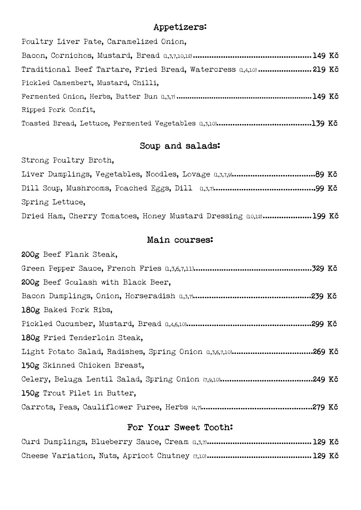#### Appetizers:

Poultry Liver Pate, Caramelized Onion, Bacon, Cornichos, Mustard, Bread (1,3,7,10,12) ...................................................149 Kč Traditional Beef Tartare, Fried Bread, Watercress (1,4,10) ....................... 219 Kč Pickled Camembert, Mustard, Chilli, Fermented Onion, Herbs, Butter Bun (1,3,7) ..............................................................149 Kč Ripped Pork Confit, Toasted Bread, Lettuce, Fermented Vegetables (1,3,10)……………………..……..…….139 Kč

# Soup and salads:

Strong Poultry Broth,

| Spring Lettuce.                                                  |  |
|------------------------------------------------------------------|--|
| Dried Ham, Cherry Tomatoes, Honey Mustard Dressing (10,12)199 Kč |  |

### Main courses:

| 200g Beef Flank Steak,             |
|------------------------------------|
|                                    |
| 200g Beef Goulash with Black Beer, |
|                                    |
| 180g Baked Pork Ribs.              |
|                                    |
| 180g Fried Tenderloin Steak,       |
|                                    |
| 150g Skinned Chicken Breast,       |
|                                    |
| 150g Trout Filet in Butter,        |
|                                    |

## For Your Sweet Tooth: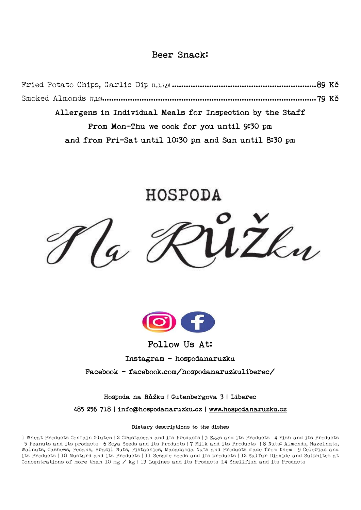## Beer Snack:

Fried Potato Chips, Garlic Dip (1,3,7,9) ..............................................................89 Kč Smoked Almonds (7,12)............................................................................................79 Kč Allergens in Individual Meals for Inspection by the Staff From Mon-Thu we cook for you until 9:30 pm and from Fri-Sat until 10:30 pm and Sun until 8:30 pm

HOSPODA





Follow Us At:

Instagram – hospodanaruzku

Facebook - [facebook.com/hospodanaruzkuliberec/](https://m.facebook.com/hospodanaruzkuliberec/?ref=bookmarks) 

Hospoda na Růžku | Gutenbergova 3 | Liberec

485 256 718 | info@hospodanaruzku.cz | [www.hospodanaruzku.cz](http://www.hospodanaruzku.cz/)

#### Dietary descriptions to the dishes

1 Wheat Products Contain Gluten | 2 Crustacean and its Products | 3 Eggs and its Products | 4 Fish and its Products | 5 Peanuts and its products | 6 Soya Seeds and its Products | 7 Milk and its Products | 8 Nuts: Almonds, Hazelnuts, Walnuts, Cashews, Pecans, Brazil Nuts, Pistachios, Macadamia Nuts and Products made from them | 9 Celeriac and its Products | 10 Mustard and its Products | 11 Sesame seeds and its products | 12 Sulfur Dioxide and Sulphites at Concentrations of more than 10 mg / kg | 13 Lupines and its Products |14 Shellfish and its Products